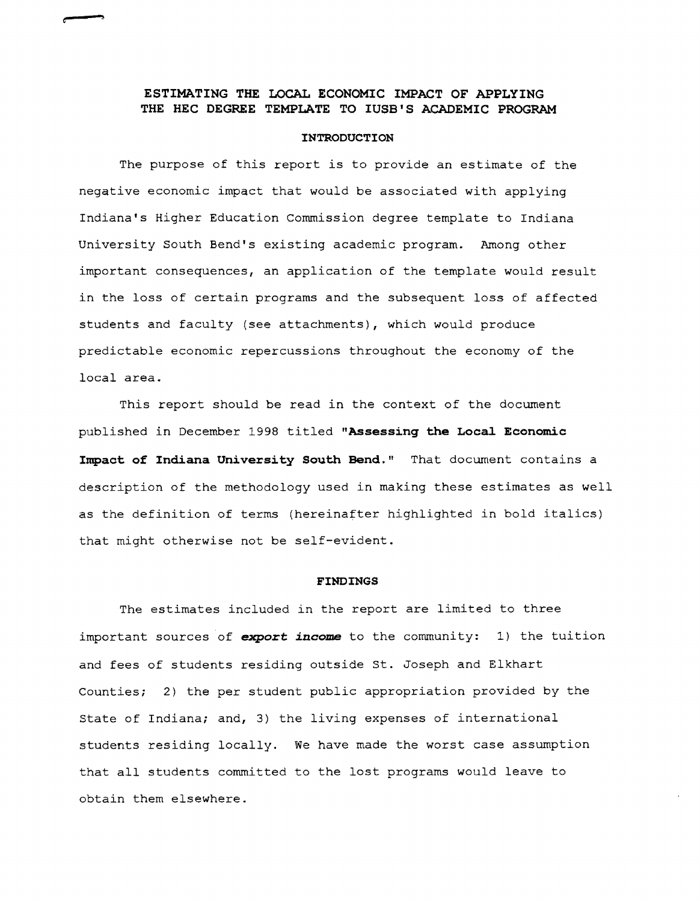### **ESTIMATING THE LOCAL ECONOMIC IMPACT OF APPLYING THE HEC DEGREE TEMPLATE TO IUSB'S ACADEMIC PROGRAM**

('"

#### **INTRODUCTION**

The purpose of this report is to provide an estimate of the negative economic impact that would be associated with applying Indiana's Higher Education Commission degree template to Indiana University South Bend's existing academic program. Among other important consequences, an application of the template would result in the loss of certain programs and the subsequent loss of affected students and faculty (see attachments), which would produce predictable economic repercussions throughout the economy of the local area.

This report should be read in the context of the document published in December 1998 titled **"Assessing the Local. Economic**  Impact of Indiana University South Bend." That document contains a description of the methodology used in making these estimates as well as the definition of terms (hereinafter highlighted in bold italics) that might otherwise not be self-evident.

#### **FINDINGS**

The estimates included in the report are limited to three important sources of **export income** to the community: 1) the tuition and fees of students residing outside st. Joseph and Elkhart Counties; 2) the per student public appropriation provided by the State of Indiana; and, 3) the living expenses of international students residing locally. We have made the worst case assumption that all students committed to the lost programs would leave to obtain them elsewhere.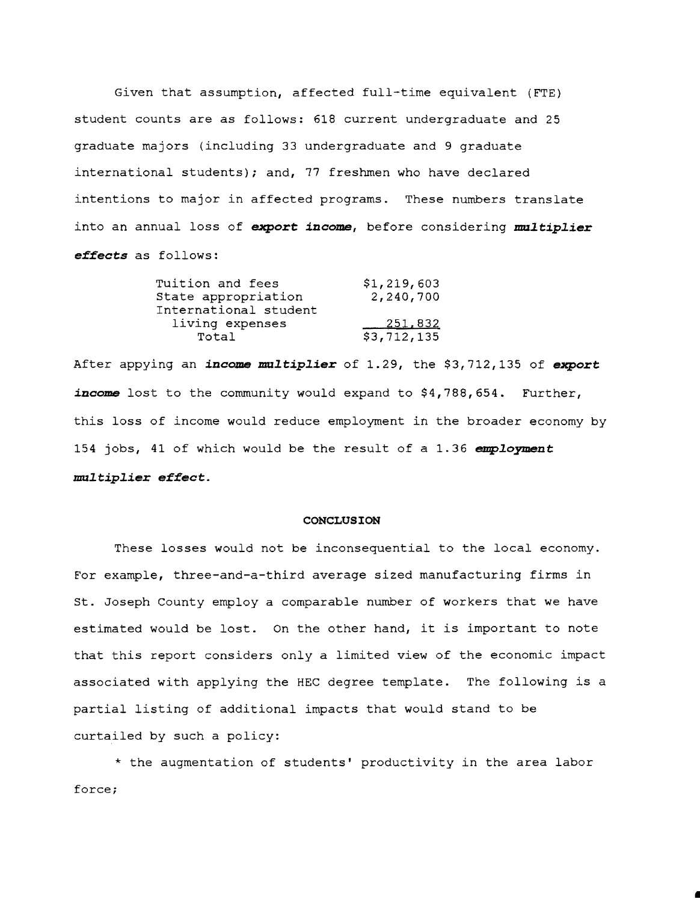Given that assumption, affected full-time equivalent (FTE) student counts are as follows: 618 current undergraduate and 25 graduate majors (including 33 undergraduate and 9 graduate international students); and, 77 freshmen who have declared intentions to major in affected programs. These numbers translate into an annual loss of export *income*, before considering multiplier *effects* as follows:

| Tuition and fees      | \$1,219,603 |
|-----------------------|-------------|
| State appropriation   | 2,240,700   |
| International student |             |
| living expenses       | 251,832     |
| Total                 | \$3,712,135 |

After appying an *income multiplier* of 1.29, the \$3,712,135 of export *income* lost to the community would expand to \$4,788,654. Further, this loss of income would reduce employment in the broader economy by 154 jobs, 41 of which would be the result of a 1.36  $emplogment$ *mu2tip2ier* **effect.** 

#### **CONCLUSION**

These losses would not be inconsequential to the local economy. For example, three-and-a-third average sized manufacturing firms in St. Joseph County employ a comparable number of workers that we have estimated would be lost. On the other hand, it *is* important to note that this report considers only a limited view of the economic impact associated with applying the HEC degree template. The following *is* <sup>a</sup> partial listing of additional impacts that would stand to be curtailed by such a policy:

\* the augmentation of students' productivity in the area labor force;

I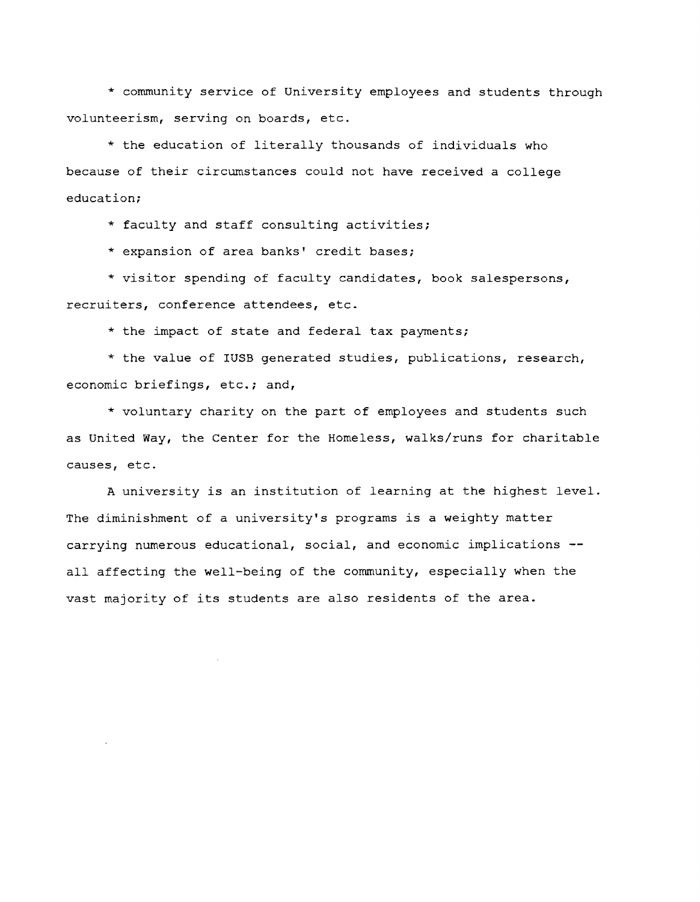\* community service of University employees and students through volunteerism, serving on boards, etc.

\* the education of literally thousands of individuals who because of their circumstances could not have received a college education;

\* faculty and staff consulting activities;

\* expansion of area banks' credit bases;

\* visitor spending of faculty candidates, book salespersons, recruiters, conference attendees, etc.

\* the impact of state and federal tax payments;

\* the value of lUSB generated studies, publications, research, economic briefings, etc.; and,

\* voluntary charity on the part of employees and students such as United Way, the Center for the Homeless, walks/runs for charitable causes, etc.

A university is an institution of learning at the highest level. The diminishment of a university's programs is a weighty matter carrying numerous educational, social, and economic implications all affecting the well-being of the community, especially when the vast majority of its students are also residents of the area.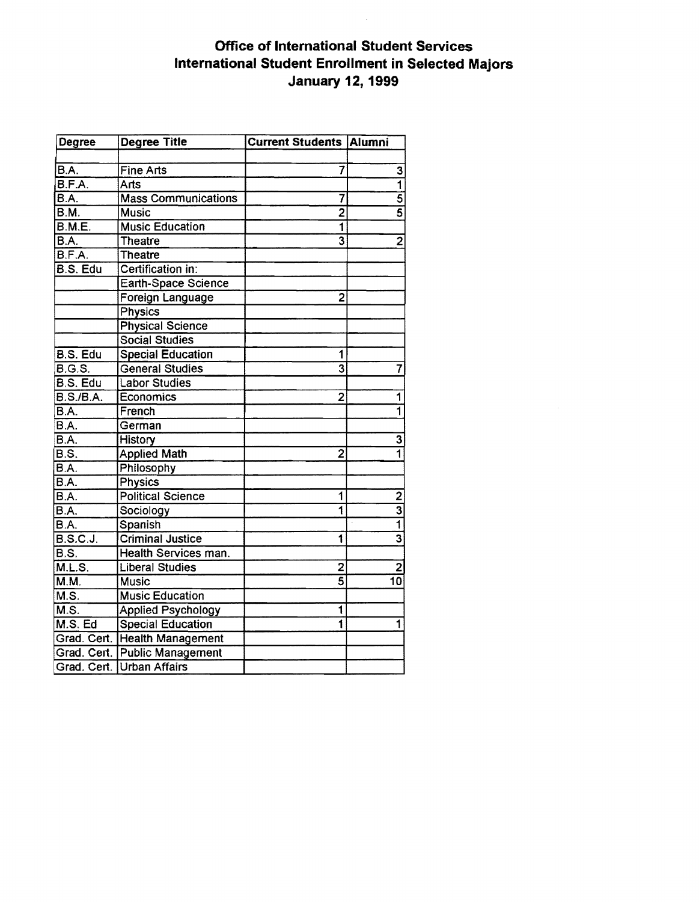# Office of International Student Services International Student Enrollment in Selected Majors January 12, 1999

| Degree           | <b>Degree Title</b>           | <b>Current Students Alumni</b> |                           |
|------------------|-------------------------------|--------------------------------|---------------------------|
|                  |                               |                                |                           |
| B.A.             | <b>Fine Arts</b>              | 7                              | 3                         |
| B.F.A.           | Arts                          |                                | $\overline{\mathbf{1}}$   |
| B.A.             | <b>Mass Communications</b>    | 7                              | $\overline{5}$            |
| B.M.             | <b>Music</b>                  | $\overline{2}$                 | $\overline{5}$            |
| <b>B.M.E.</b>    | <b>Music Education</b>        | $\overline{\mathbf{1}}$        |                           |
| B.A.             | <b>Theatre</b>                | $\overline{\mathbf{3}}$        | $\overline{2}$            |
| B.F.A.           | <b>Theatre</b>                |                                |                           |
| B.S. Edu         | Certification in:             |                                |                           |
|                  | Earth-Space Science           |                                |                           |
|                  | Foreign Language              | $\overline{2}$                 |                           |
|                  | <b>Physics</b>                |                                |                           |
|                  | <b>Physical Science</b>       |                                |                           |
|                  | <b>Social Studies</b>         |                                |                           |
| B.S. Edu         | <b>Special Education</b>      | 1                              |                           |
| B.G.S.           | <b>General Studies</b>        | $\overline{\overline{3}}$      | 7                         |
| B.S. Edu         | <b>Labor Studies</b>          |                                |                           |
| <b>B.S./B.A.</b> | Economics                     | $\overline{2}$                 | 1                         |
| B.A.             | French                        |                                | ī                         |
| B.A.             | German                        |                                |                           |
| B.A.             | <b>History</b>                |                                | $\overline{\mathbf{3}}$   |
| B.S.             | <b>Applied Math</b>           | $\overline{2}$                 | $\overline{\mathbf{1}}$   |
| B.A.             | Philosophy                    |                                |                           |
| B.A.             | Physics                       |                                |                           |
| B.A.             | <b>Political Science</b>      | $\overline{\mathbf{1}}$        |                           |
| BA.              | Sociology                     | $\overline{1}$                 | $\frac{2}{3}$             |
| B.A.             | Spanish                       |                                |                           |
| <b>B.S.C.J.</b>  | <b>Criminal Justice</b>       | 1                              | $\overline{\overline{3}}$ |
| B.S.             | Health Services man.          |                                |                           |
| M.L.S.           | <b>Liberal Studies</b>        | $\overline{c}$                 | $\frac{2}{10}$            |
| M.M.             | <b>Music</b>                  | $\overline{\mathbf{s}}$        |                           |
| M.S.             | <b>Music Education</b>        |                                |                           |
| M.S.             | <b>Applied Psychology</b>     | 1                              |                           |
| M.S. Ed          | <b>Special Education</b>      | 1                              | 1                         |
|                  | Grad. Cert. Health Management |                                |                           |
|                  | Grad. Cert. Public Management |                                |                           |
|                  | Grad. Cert. Urban Affairs     |                                |                           |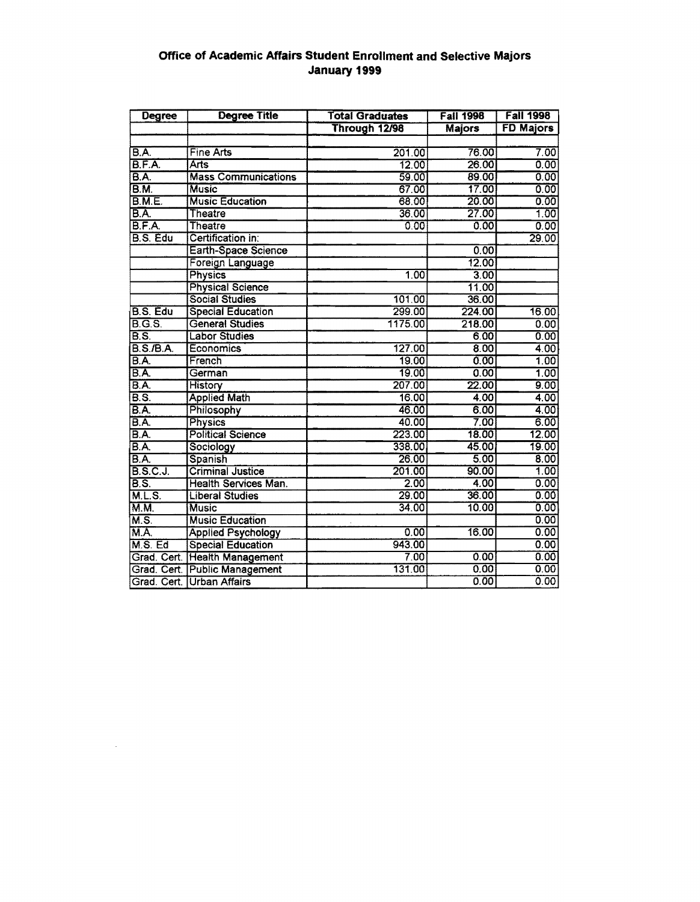## Office of Academic Affairs Student Enrollment and Selective Majors January 1999

| <b>Degree</b>                     | <b>Degree Title</b>           | <b>Total Graduates</b> | <b>Fall 1998</b> | <b>Fall 1998</b> |
|-----------------------------------|-------------------------------|------------------------|------------------|------------------|
|                                   |                               | Through 12/98          | <b>Majors</b>    | <b>FD Majors</b> |
|                                   |                               |                        |                  |                  |
| B.A.                              | <b>Fine Arts</b>              | 201.00                 | 76.00            | 7.00             |
| B.F.A.                            | Arts                          | 12.00                  | 26.00            | 0.00             |
| BA.                               | <b>Mass Communications</b>    | 59.00                  | 89.00            | 0.00             |
| $\overline{BM}$                   | <b>Music</b>                  | 67.00                  | 17.00            | 0.00             |
| B.M.E.                            | <b>Music Education</b>        | 68.00                  | 20.00            | 0.00             |
| $\overline{BA}$                   | Theatre                       | 36.00                  | 27.00            | 1.00             |
| B.F.A.                            | <b>Theatre</b>                | 0.00                   | 0.00             | 0.00             |
| B.S. Edu                          | Certification in:             |                        |                  | 29.00            |
|                                   | Earth-Space Science           |                        | 0.00             |                  |
|                                   | Foreign Language              |                        | 12.00            |                  |
|                                   | <b>Physics</b>                | 1.00                   | 3.00             |                  |
|                                   | <b>Physical Science</b>       |                        | 11.00            |                  |
|                                   | <b>Social Studies</b>         | 101.00                 | 36.00            |                  |
| B.S. Edu                          | <b>Special Education</b>      | 299.00                 | 224.00           | 16.00            |
| B.G.S.                            | <b>General Studies</b>        | 1175.00                | 218.00           | 0.00             |
| $\overline{B.S.}$                 | <b>Labor Studies</b>          |                        | 6.00             | 0.00             |
| <b>B.S./B.A.</b>                  | Economics                     | 127.00                 | 8.00             | 4.00             |
| B.A.                              | French                        | 19,00                  | 0.00             | 1.00             |
| B.A.                              | German                        | 19.00                  | 0.00             | 1.00             |
| $\overline{BA}$                   | History                       | 207.00                 | 22.00            | 9.00             |
| $\overline{B.S.}$                 | <b>Applied Math</b>           | 16.00                  | 4.00             | 4.00             |
| B.A.                              | Philosophy                    | 46.00                  | 6.00             | 4.00             |
| $\overline{BA}$                   | Physics                       | 40.00                  | 7.00             | 6.00             |
| B.A.                              | <b>Political Science</b>      | 223.00                 | 18.00            | 12.00            |
| B.A.                              | Sociology                     | 338.00                 | 45.00            | 19.00            |
| B.A.                              | Spanish                       | 26.00                  | 5.00             | 8.00             |
| <b>B.S.C.J.</b>                   | <b>Criminal Justice</b>       | 201.00                 | 90.00            | 1.00             |
| $\overline{BS}$                   | <b>Health Services Man.</b>   | 2.00                   | 4.00             | 0.00             |
| M.L.S.                            | <b>Liberal Studies</b>        | 29.00                  | 36.00            | 0.00             |
| M.M.                              | <b>Music</b>                  | 34.00                  | 10.00            | 0.00             |
| $\overline{\mathsf{M}}\mathsf{S}$ | <b>Music Education</b>        |                        |                  | 0.00             |
| M.A.                              | <b>Applied Psychology</b>     | 0.00                   | 16.00            | 0.00             |
| M.S. Ed                           | <b>Special Education</b>      | 943.00                 |                  | 0.00             |
|                                   | Grad. Cert. Health Management | 7.00                   | 0.00             | 0.00             |
| Grad. Cert.                       | <b>Public Management</b>      | 131.00                 | 0.00             | 0.00             |
|                                   | Grad. Cert. Urban Affairs     |                        | 0.00             | 0.00             |

 $\sim$